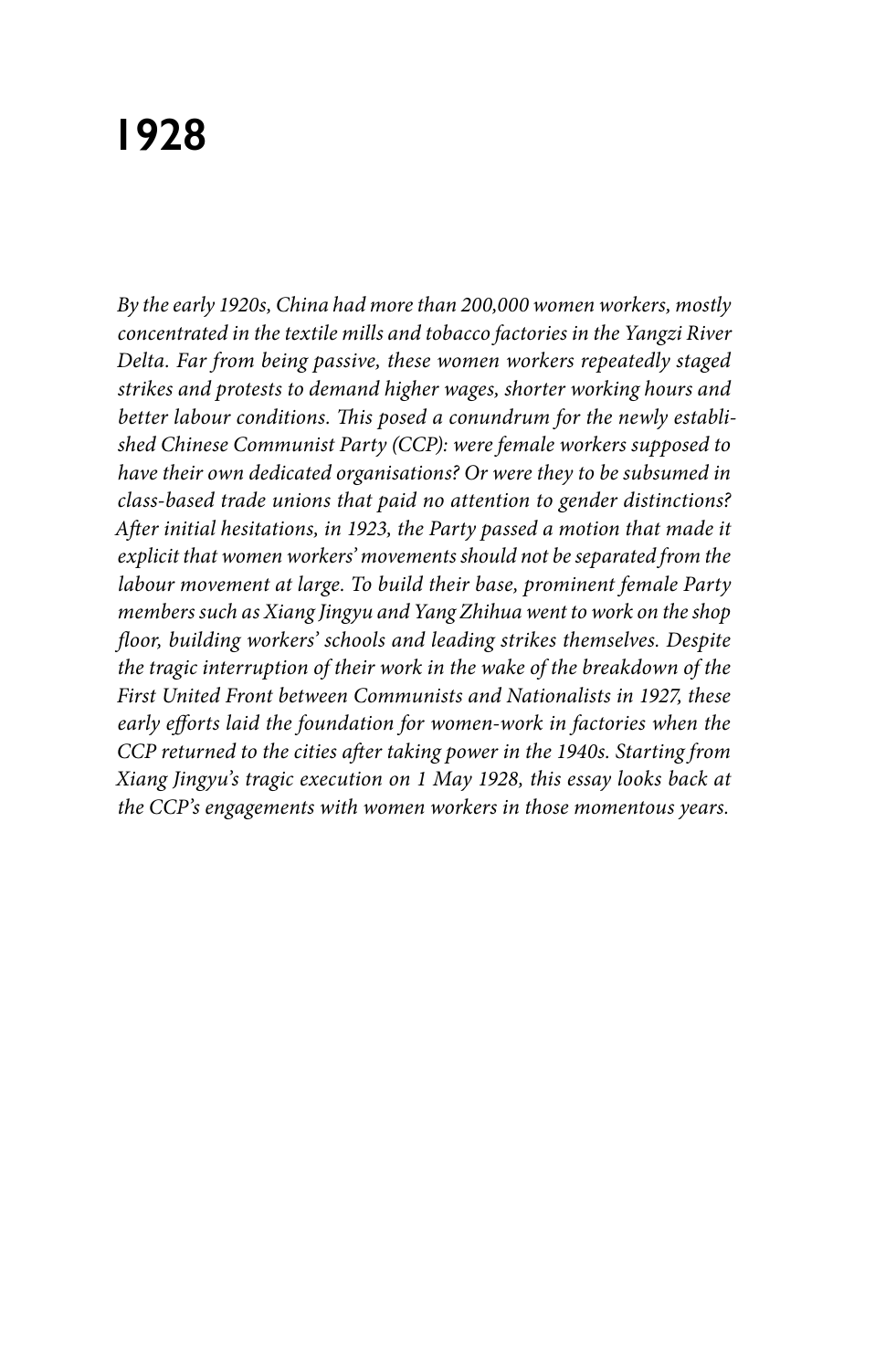# **1928**

*By the early 1920s, China had more than 200,000 women workers, mostly concentrated in the textile mills and tobacco factories in the Yangzi River Delta. Far from being passive, these women workers repeatedly staged strikes and protests to demand higher wages, shorter working hours and better labour conditions. This posed a conundrum for the newly established Chinese Communist Party (CCP): were female workers supposed to have their own dedicated organisations? Or were they to be subsumed in class-based trade unions that paid no attention to gender distinctions? After initial hesitations, in 1923, the Party passed a motion that made it explicit that women workers' movements should not be separated from the labour movement at large. To build their base, prominent female Party members such as Xiang Jingyu and Yang Zhihua went to work on the shop floor, building workers' schools and leading strikes themselves. Despite the tragic interruption of their work in the wake of the breakdown of the First United Front between Communists and Nationalists in 1927, these early efforts laid the foundation for women-work in factories when the CCP returned to the cities after taking power in the 1940s. Starting from Xiang Jingyu's tragic execution on 1 May 1928, this essay looks back at the CCP's engagements with women workers in those momentous years.*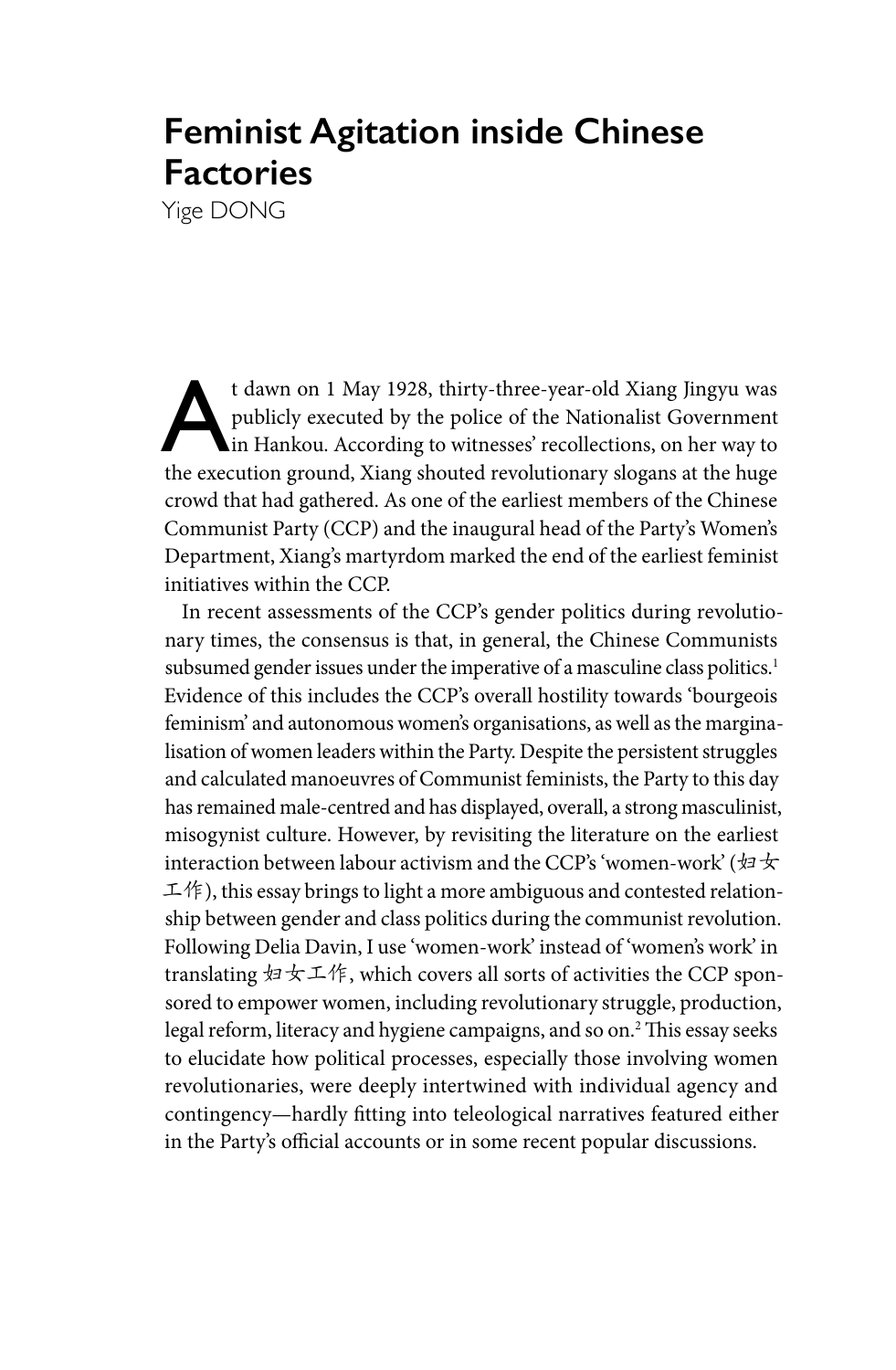## **Feminist Agitation inside Chinese Factories**

Yige DONG

t dawn on 1 May 1928, thirty-three-year-old Xiang Jingyu was<br>publicly executed by the police of the Nationalist Government<br>in Hankou. According to witnesses' recollections, on her way to<br>the execution ground. Ning shouted publicly executed by the police of the Nationalist Government in Hankou. According to witnesses' recollections, on her way to the execution ground, Xiang shouted revolutionary slogans at the huge crowd that had gathered. As one of the earliest members of the Chinese Communist Party (CCP) and the inaugural head of the Party's Women's Department, Xiang's martyrdom marked the end of the earliest feminist initiatives within the CCP.

In recent assessments of the CCP's gender politics during revolutionary times, the consensus is that, in general, the Chinese Communists subsumed gender issues under the imperative of a masculine class politics.<sup>1</sup> Evidence of this includes the CCP's overall hostility towards 'bourgeois feminism' and autonomous women's organisations, as well as the marginalisation of women leaders within the Party. Despite the persistent struggles and calculated manoeuvres of Communist feminists, the Party to this day has remained male-centred and has displayed, overall, a strong masculinist, misogynist culture. However, by revisiting the literature on the earliest interaction between labour activism and the CCP's 'women-work' ( $\# \star$ 工作), this essay brings to light a more ambiguous and contested relationship between gender and class politics during the communist revolution. Following Delia Davin, I use 'women-work' instead of 'women's work' in translating 妇女工作, which covers all sorts of activities the CCP sponsored to empower women, including revolutionary struggle, production, legal reform, literacy and hygiene campaigns, and so on.2 This essay seeks to elucidate how political processes, especially those involving women revolutionaries, were deeply intertwined with individual agency and contingency—hardly fitting into teleological narratives featured either in the Party's official accounts or in some recent popular discussions.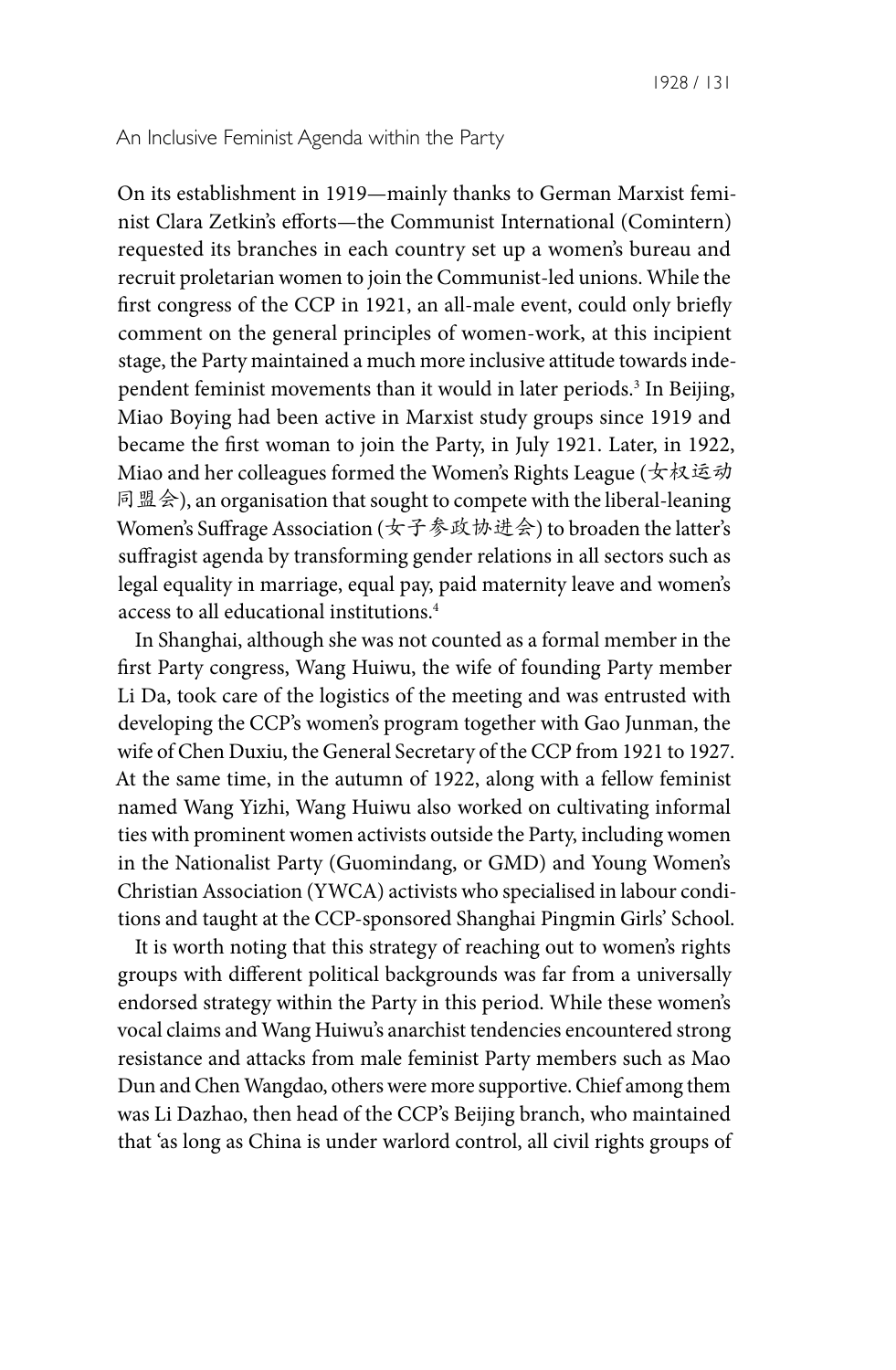#### An Inclusive Feminist Agenda within the Party

On its establishment in 1919—mainly thanks to German Marxist feminist Clara Zetkin's efforts—the Communist International (Comintern) requested its branches in each country set up a women's bureau and recruit proletarian women to join the Communist-led unions. While the first congress of the CCP in 1921, an all-male event, could only briefly comment on the general principles of women-work, at this incipient stage, the Party maintained a much more inclusive attitude towards independent feminist movements than it would in later periods.<sup>3</sup> In Beijing, Miao Boying had been active in Marxist study groups since 1919 and became the first woman to join the Party, in July 1921. Later, in 1922, Miao and her colleagues formed the Women's Rights League (女权运动 同盟会), an organisation that sought to compete with the liberal-leaning Women's Suffrage Association (女子参政协进会) to broaden the latter's suffragist agenda by transforming gender relations in all sectors such as legal equality in marriage, equal pay, paid maternity leave and women's access to all educational institutions.4

In Shanghai, although she was not counted as a formal member in the first Party congress, Wang Huiwu, the wife of founding Party member Li Da, took care of the logistics of the meeting and was entrusted with developing the CCP's women's program together with Gao Junman, the wife of Chen Duxiu, the General Secretary of the CCP from 1921 to 1927. At the same time, in the autumn of 1922, along with a fellow feminist named Wang Yizhi, Wang Huiwu also worked on cultivating informal ties with prominent women activists outside the Party, including women in the Nationalist Party (Guomindang, or GMD) and Young Women's Christian Association (YWCA) activists who specialised in labour conditions and taught at the CCP-sponsored Shanghai Pingmin Girls' School.

It is worth noting that this strategy of reaching out to women's rights groups with different political backgrounds was far from a universally endorsed strategy within the Party in this period. While these women's vocal claims and Wang Huiwu's anarchist tendencies encountered strong resistance and attacks from male feminist Party members such as Mao Dun and Chen Wangdao, others were more supportive. Chief among them was Li Dazhao, then head of the CCP's Beijing branch, who maintained that 'as long as China is under warlord control, all civil rights groups of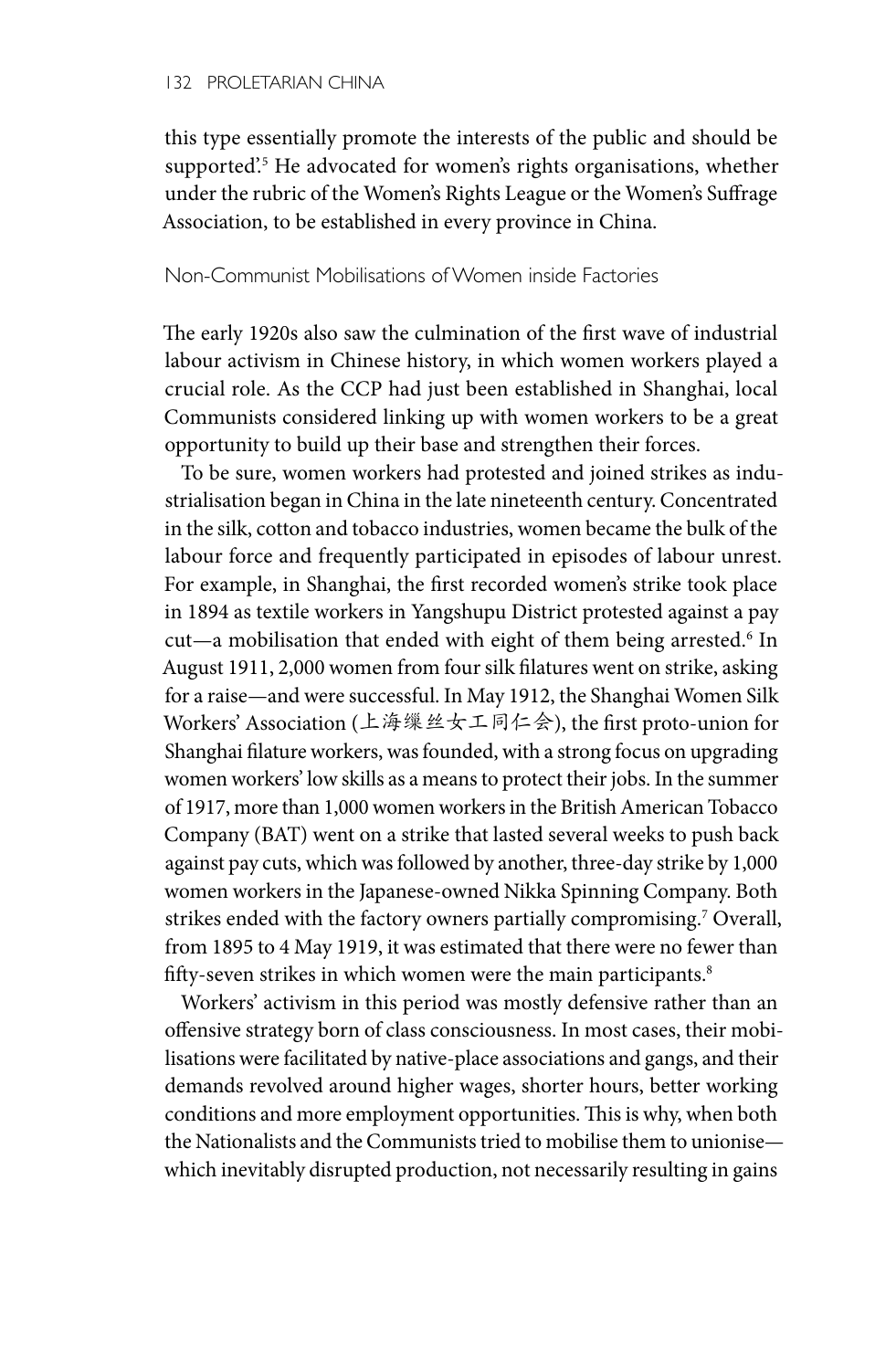this type essentially promote the interests of the public and should be supported'.5 He advocated for women's rights organisations, whether under the rubric of the Women's Rights League or the Women's Suffrage Association, to be established in every province in China.

### Non-Communist Mobilisations of Women inside Factories

The early 1920s also saw the culmination of the first wave of industrial labour activism in Chinese history, in which women workers played a crucial role. As the CCP had just been established in Shanghai, local Communists considered linking up with women workers to be a great opportunity to build up their base and strengthen their forces.

To be sure, women workers had protested and joined strikes as industrialisation began in China in the late nineteenth century. Concentrated in the silk, cotton and tobacco industries, women became the bulk of the labour force and frequently participated in episodes of labour unrest. For example, in Shanghai, the first recorded women's strike took place in 1894 as textile workers in Yangshupu District protested against a pay cut—a mobilisation that ended with eight of them being arrested.<sup>6</sup> In August 1911, 2,000 women from four silk filatures went on strike, asking for a raise—and were successful. In May 1912, the Shanghai Women Silk Workers' Association (上海缫丝女工同仁会), the first proto-union for Shanghai filature workers, was founded, with a strong focus on upgrading women workers' low skills as a means to protect their jobs. In the summer of 1917, more than 1,000 women workers in the British American Tobacco Company (BAT) went on a strike that lasted several weeks to push back against pay cuts, which was followed by another, three-day strike by 1,000 women workers in the Japanese-owned Nikka Spinning Company. Both strikes ended with the factory owners partially compromising.<sup>7</sup> Overall, from 1895 to 4 May 1919, it was estimated that there were no fewer than fifty-seven strikes in which women were the main participants.<sup>8</sup>

Workers' activism in this period was mostly defensive rather than an offensive strategy born of class consciousness. In most cases, their mobilisations were facilitated by native-place associations and gangs, and their demands revolved around higher wages, shorter hours, better working conditions and more employment opportunities. This is why, when both the Nationalists and the Communists tried to mobilise them to unionise which inevitably disrupted production, not necessarily resulting in gains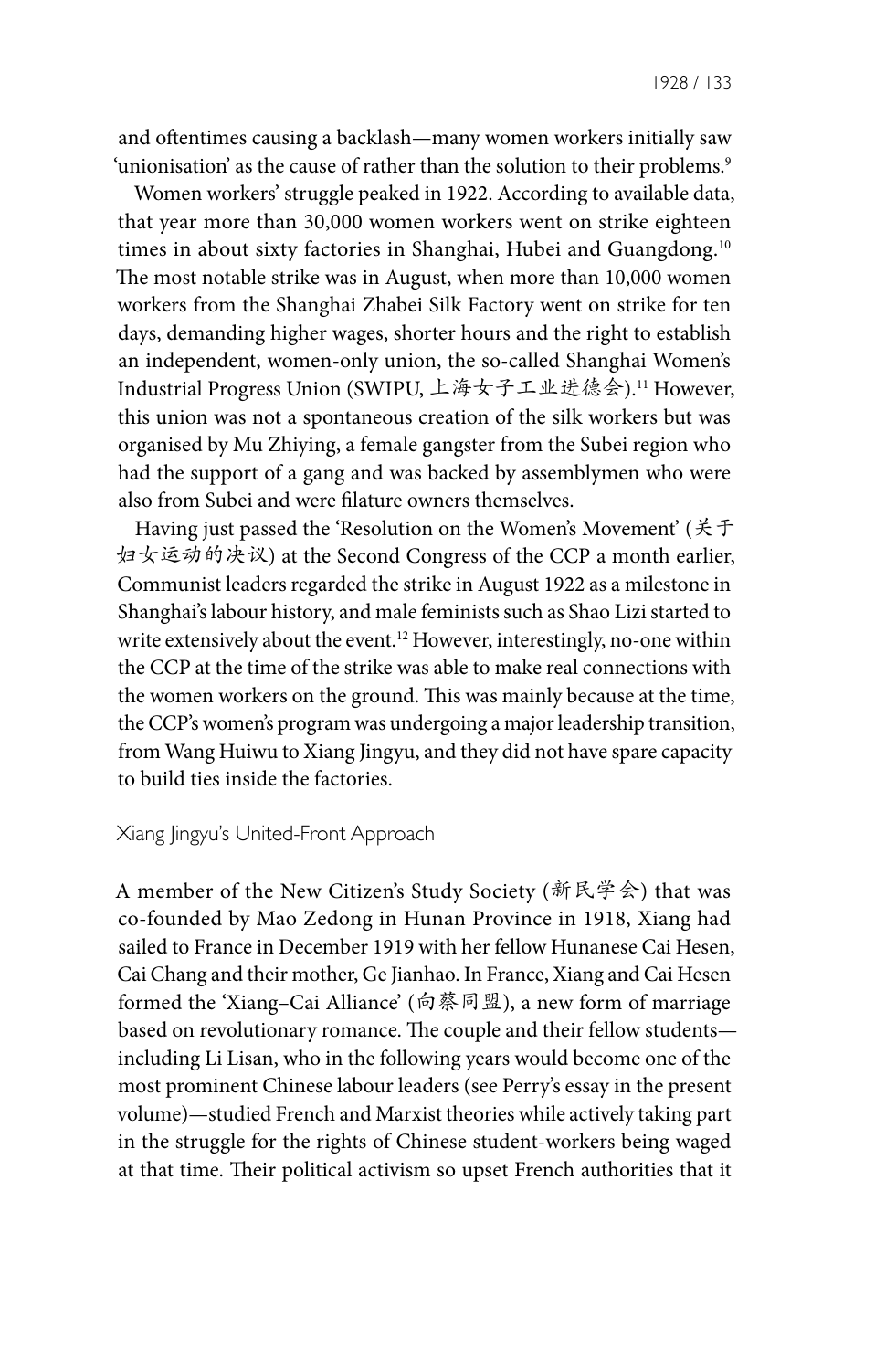1928 / 133

and oftentimes causing a backlash—many women workers initially saw 'unionisation' as the cause of rather than the solution to their problems.<sup>9</sup>

Women workers' struggle peaked in 1922. According to available data, that year more than 30,000 women workers went on strike eighteen times in about sixty factories in Shanghai, Hubei and Guangdong.<sup>10</sup> The most notable strike was in August, when more than 10,000 women workers from the Shanghai Zhabei Silk Factory went on strike for ten days, demanding higher wages, shorter hours and the right to establish an independent, women-only union, the so-called Shanghai Women's Industrial Progress Union (SWIPU, 上海女子工业进德会).11 However, this union was not a spontaneous creation of the silk workers but was organised by Mu Zhiying, a female gangster from the Subei region who had the support of a gang and was backed by assemblymen who were also from Subei and were filature owners themselves.

Having just passed the 'Resolution on the Women's Movement' (关于 妇女运动的决议) at the Second Congress of the CCP a month earlier, Communist leaders regarded the strike in August 1922 as a milestone in Shanghai's labour history, and male feminists such as Shao Lizi started to write extensively about the event.12 However, interestingly, no-one within the CCP at the time of the strike was able to make real connections with the women workers on the ground. This was mainly because at the time, the CCP's women's program was undergoing a major leadership transition, from Wang Huiwu to Xiang Jingyu, and they did not have spare capacity to build ties inside the factories.

#### Xiang Jingyu's United-Front Approach

A member of the New Citizen's Study Society (新民学会) that was co-founded by Mao Zedong in Hunan Province in 1918, Xiang had sailed to France in December 1919 with her fellow Hunanese Cai Hesen, Cai Chang and their mother, Ge Jianhao. In France, Xiang and Cai Hesen formed the 'Xiang–Cai Alliance' (向蔡同盟), a new form of marriage based on revolutionary romance. The couple and their fellow students including Li Lisan, who in the following years would become one of the most prominent Chinese labour leaders (see Perry's essay in the present volume)—studied French and Marxist theories while actively taking part in the struggle for the rights of Chinese student-workers being waged at that time. Their political activism so upset French authorities that it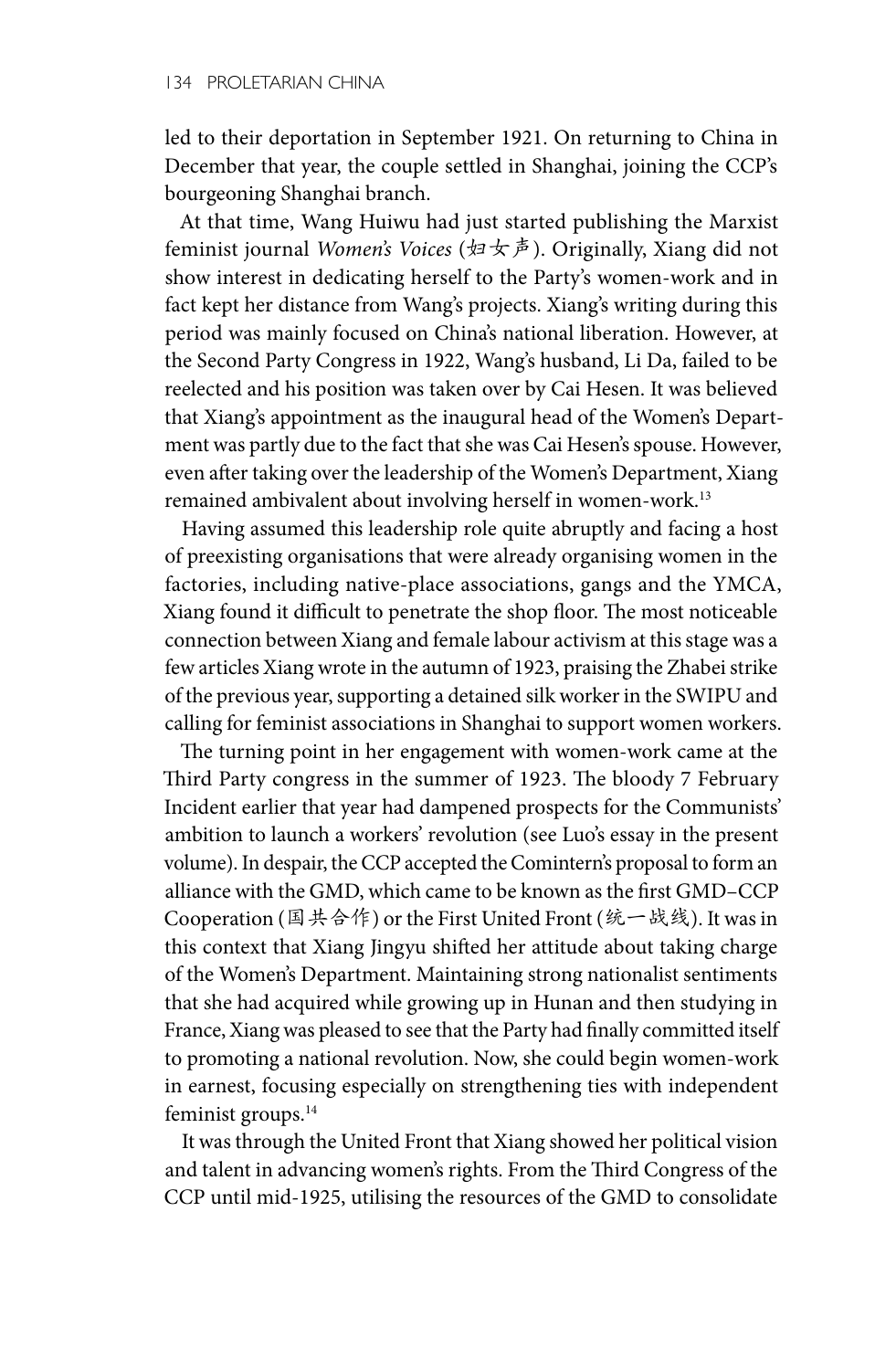led to their deportation in September 1921. On returning to China in December that year, the couple settled in Shanghai, joining the CCP's bourgeoning Shanghai branch.

At that time, Wang Huiwu had just started publishing the Marxist feminist journal *Women's Voices* (妇女声). Originally, Xiang did not show interest in dedicating herself to the Party's women-work and in fact kept her distance from Wang's projects. Xiang's writing during this period was mainly focused on China's national liberation. However, at the Second Party Congress in 1922, Wang's husband, Li Da, failed to be reelected and his position was taken over by Cai Hesen. It was believed that Xiang's appointment as the inaugural head of the Women's Department was partly due to the fact that she was Cai Hesen's spouse. However, even after taking over the leadership of the Women's Department, Xiang remained ambivalent about involving herself in women-work.<sup>13</sup>

Having assumed this leadership role quite abruptly and facing a host of preexisting organisations that were already organising women in the factories, including native-place associations, gangs and the YMCA, Xiang found it difficult to penetrate the shop floor. The most noticeable connection between Xiang and female labour activism at this stage was a few articles Xiang wrote in the autumn of 1923, praising the Zhabei strike of the previous year, supporting a detained silk worker in the SWIPU and calling for feminist associations in Shanghai to support women workers.

The turning point in her engagement with women-work came at the Third Party congress in the summer of 1923. The bloody 7 February Incident earlier that year had dampened prospects for the Communists' ambition to launch a workers' revolution (see Luo's essay in the present volume). In despair, the CCP accepted the Comintern's proposal to form an alliance with the GMD, which came to be known as the first GMD–CCP Cooperation (国共合作) or the First United Front (统一战线). It was in this context that Xiang Jingyu shifted her attitude about taking charge of the Women's Department. Maintaining strong nationalist sentiments that she had acquired while growing up in Hunan and then studying in France, Xiang was pleased to see that the Party had finally committed itself to promoting a national revolution. Now, she could begin women-work in earnest, focusing especially on strengthening ties with independent feminist groups.<sup>14</sup>

It was through the United Front that Xiang showed her political vision and talent in advancing women's rights. From the Third Congress of the CCP until mid-1925, utilising the resources of the GMD to consolidate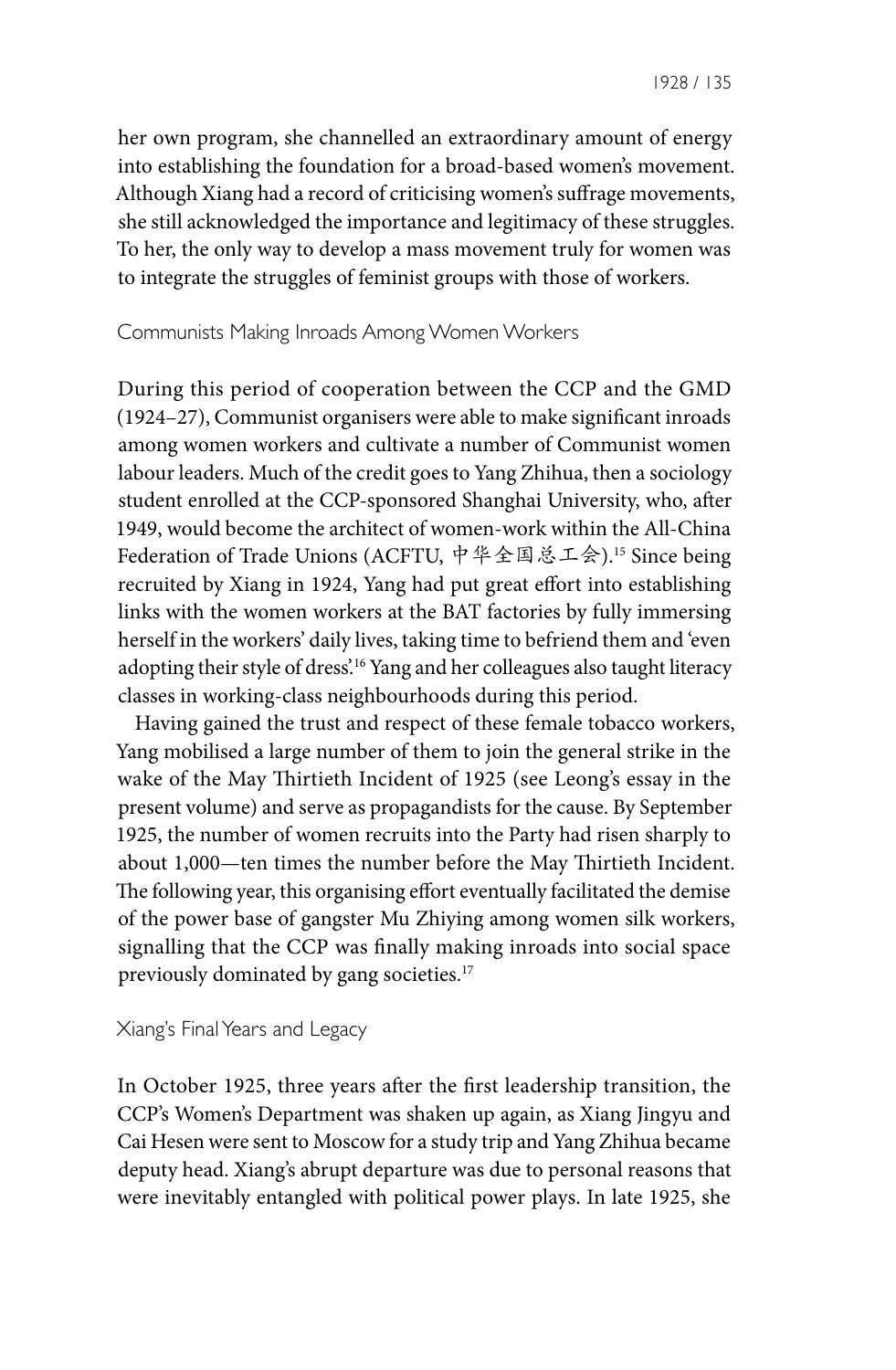her own program, she channelled an extraordinary amount of energy into establishing the foundation for a broad-based women's movement. Although Xiang had a record of criticising women's suffrage movements, she still acknowledged the importance and legitimacy of these struggles. To her, the only way to develop a mass movement truly for women was to integrate the struggles of feminist groups with those of workers.

#### Communists Making Inroads Among Women Workers

During this period of cooperation between the CCP and the GMD (1924–27), Communist organisers were able to make significant inroads among women workers and cultivate a number of Communist women labour leaders. Much of the credit goes to Yang Zhihua, then a sociology student enrolled at the CCP-sponsored Shanghai University, who, after 1949, would become the architect of women-work within the All-China Federation of Trade Unions (ACFTU, 中华全国总工会).15 Since being recruited by Xiang in 1924, Yang had put great effort into establishing links with the women workers at the BAT factories by fully immersing herself in the workers' daily lives, taking time to befriend them and 'even adopting their style of dress'.16 Yang and her colleagues also taught literacy classes in working-class neighbourhoods during this period.

Having gained the trust and respect of these female tobacco workers, Yang mobilised a large number of them to join the general strike in the wake of the May Thirtieth Incident of 1925 (see Leong's essay in the present volume) and serve as propagandists for the cause. By September 1925, the number of women recruits into the Party had risen sharply to about 1,000—ten times the number before the May Thirtieth Incident. The following year, this organising effort eventually facilitated the demise of the power base of gangster Mu Zhiying among women silk workers, signalling that the CCP was finally making inroads into social space previously dominated by gang societies.<sup>17</sup>

#### Xiang's Final Years and Legacy

In October 1925, three years after the first leadership transition, the CCP's Women's Department was shaken up again, as Xiang Jingyu and Cai Hesen were sent to Moscow for a study trip and Yang Zhihua became deputy head. Xiang's abrupt departure was due to personal reasons that were inevitably entangled with political power plays. In late 1925, she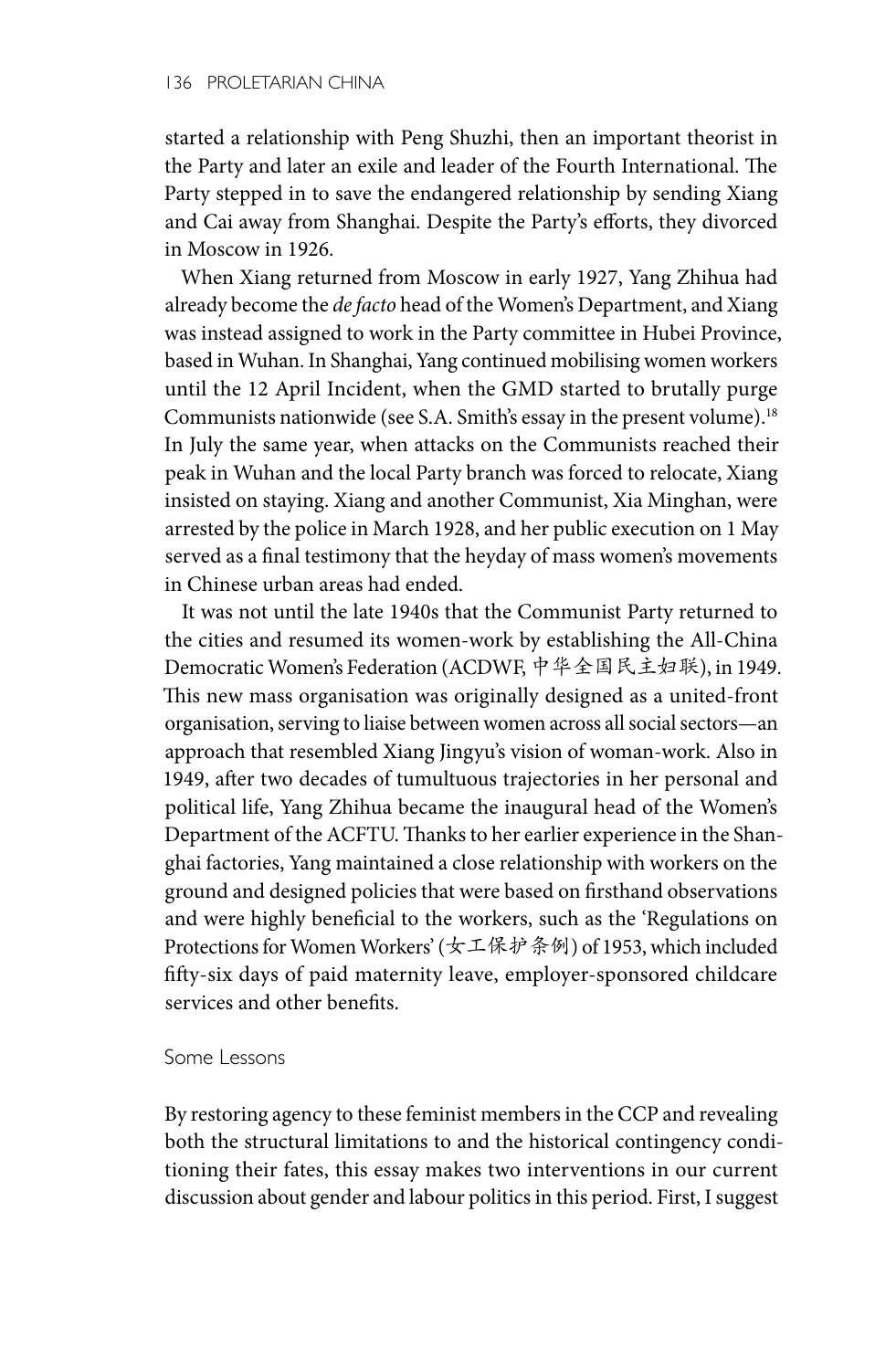started a relationship with Peng Shuzhi, then an important theorist in the Party and later an exile and leader of the Fourth International. The Party stepped in to save the endangered relationship by sending Xiang and Cai away from Shanghai. Despite the Party's efforts, they divorced in Moscow in 1926.

When Xiang returned from Moscow in early 1927, Yang Zhihua had already become the *de facto* head of the Women's Department, and Xiang was instead assigned to work in the Party committee in Hubei Province, based in Wuhan. In Shanghai, Yang continued mobilising women workers until the 12 April Incident, when the GMD started to brutally purge Communists nationwide (see S.A. Smith's essay in the present volume).18 In July the same year, when attacks on the Communists reached their peak in Wuhan and the local Party branch was forced to relocate, Xiang insisted on staying. Xiang and another Communist, Xia Minghan, were arrested by the police in March 1928, and her public execution on 1 May served as a final testimony that the heyday of mass women's movements in Chinese urban areas had ended.

It was not until the late 1940s that the Communist Party returned to the cities and resumed its women-work by establishing the All-China Democratic Women's Federation (ACDWF, 中华全国民主妇联), in 1949. This new mass organisation was originally designed as a united-front organisation, serving to liaise between women across all social sectors—an approach that resembled Xiang Jingyu's vision of woman-work. Also in 1949, after two decades of tumultuous trajectories in her personal and political life, Yang Zhihua became the inaugural head of the Women's Department of the ACFTU. Thanks to her earlier experience in the Shanghai factories, Yang maintained a close relationship with workers on the ground and designed policies that were based on firsthand observations and were highly beneficial to the workers, such as the 'Regulations on Protections for Women Workers' (女工保护条例) of 1953, which included fifty-six days of paid maternity leave, employer-sponsored childcare services and other benefits.

#### Some Lessons

By restoring agency to these feminist members in the CCP and revealing both the structural limitations to and the historical contingency conditioning their fates, this essay makes two interventions in our current discussion about gender and labour politics in this period. First, I suggest